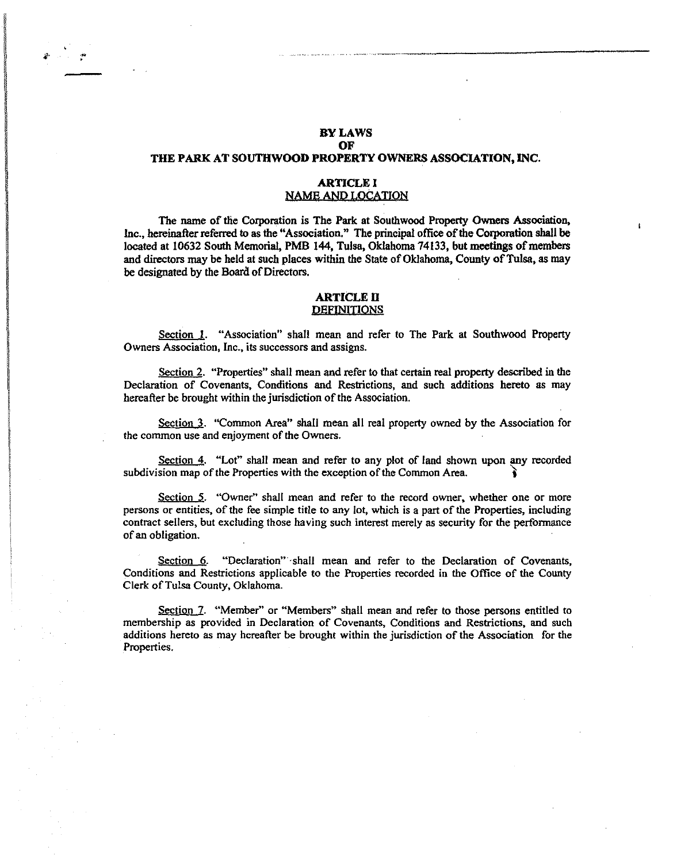# BY LAWS<br>OF OF THE PARK AT SOUTHWOOD PROPERTY OWNERS ASSOCIATION, INC.

#### ARTICLE I NAME AND LOCATION

The name of the Corporation is The Park at Southwood Property Owners Association, Inc., hereinafter referred to as the "Association." The principal office of the Corporation shall be located at 10632 South Memorial, PMB 144, Tulsa, Oklahoma 74133, but meetings of members and directors may be held at such places within the State of Oklahoma, County of Tulsa, as may be designated by the Board of Directors.

#### **ARTICLE II** DEFINITIONS

Section 1. "Association" shall mean and refer to The Park at Southwood Property Owners Association, Inc., its successors and assigns.

Section 2. "Properties" shall mean and refer to that certain real property described in the Declaration of Covenants, Conditions and Restrictions, and such additions hereto as may hereafter be brought within the jurisdiction of the Association.

Section 3. "Common Area" shall mean all real property owned by the Association for the common use and enjoyment of the Owners.

Section 4. "Lot" shall mean and refer to any plot of land shown upon any recorded subdivision map of the Properties with the exception of the Common Area.

Section 5. "Owner" shall mean and refer to the record owner, whether one or more persons or entities, of the fee simple title to any lot, which is a part of the Properties, including contract sellers, but excluding those having such interest merely as security for the performance of an obligation.

Section 6. "Declaration" shall mean and refer to the Declaration of Covenants, Conditions and Restrictions applicable to the Properties recorded in the Office of the County Clerk of Tulsa County, Oklahoma.

Section 7. "Member" or "Members" shall mean and refer to those persons entitled to membership as provided in Declaration of Covenants, Conditions and Restrictions, and such additions hereto as may hereafter be brought within the jurisdiction of the Association for the Properties.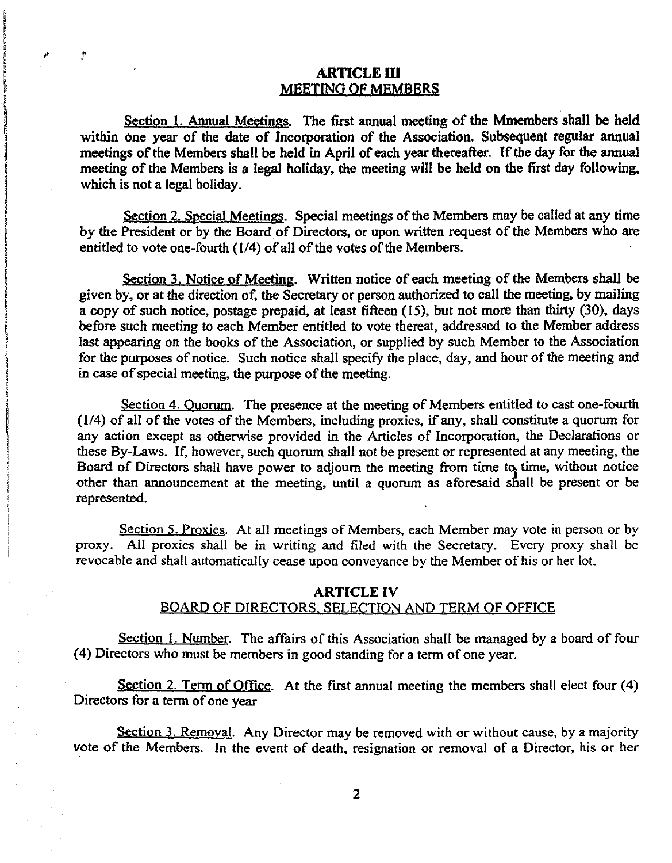# **ARTICLE III** MeETING OF MEMBERS

Section 1. Annual Meetings. The first annual meeting of the Mmembers shall be held within one year of the date of Incorporation of the Association. Subsequent regular annual meetings of the Members shall be held in April of each year thereafter. If the day for the annual meeting of the Members is a legal holiday, the meeting will be held on the first day following, which is not a legal holiday.

Section 2. Special Meetings. Special meetings of the Members may be called at any time by the President or by the Board of Directors, or upon written request of the Members who are entitled to vote one-fourth (114) of all of the votes of the Members.

Section 3. Notice of Meeting. Written notice of each meeting of the Members shall be given by, or at the direction of, the Secretary or person authorized to call the meeting, by mailing a copy of such notice, postage prepaid. at least fifteen (15), but not more than thirty (30), days before such meeting to each Member entitled to vote thereat, addressed to the Member address last appearing on the books of the Association, or supplied by such Member to the Association for the purposes of notice. Such notice shall specify the place, day, and hour of the meeting and in case of special meeting, the purpose of the meeting.

Section 4. Ouorum. The presence at the meeting of Members entitled to cast one-fourth  $(1/4)$  of all of the votes of the Members, including proxies, if any, shall constitute a quorum for any action except as otherwise provided in the Articles of Incorporation, the Declarations or these By-Laws. If, however, such quorum shall not be present or represented at any meeting, the Board of Directors shall have power to adjourn the meeting from time to time, without notice other than announcement at the meeting, until a quorum as aforesaid shall be present or be represented.

Section 5. Proxies. At all meetings of Members, each Member may vote in person or by proxy. All proxies shall be in writing and filed with the Secretary. Every proxy shall be revocable and shall automatically cease upon conveyance by the Member of his or her lot.

## ARTICLE IV

# BOARD OF DIRECTORS. SELECTION AND TERM OF OFFICE

Section 1. Number. The affairs of this Association shall be managed by a board of four (4) Directors who must be members in good standing for a term of one year.

Section 2. Term of Office. At the first annual meeting the members shall elect four  $(4)$ Directors for a term of one year

Section 3. Removal. Any Director may be removed with or without cause, by a majority vote of the Members. In the event of death, resignation or removal of a Director, his or her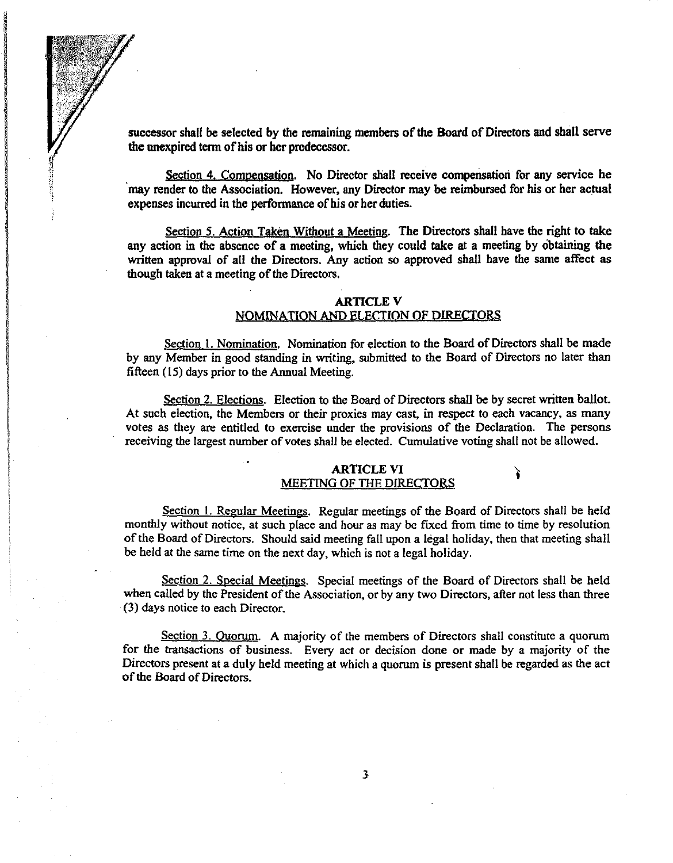successor shall be selected by the remaining members of the Board of Directors and sball serve the unexpired term of his or her predecessor.

Section 4. Compensation. No Director shall receive compensation for any service he may render to the Association. However, any Director may be reimbursed for his or her actual expenses incurred in the performance of his or her duties.

**TANGER STATE** 

Section 5. Action Taken Without a Meeting. The Directors shall have the right to take any action in the absence of a meeting, which they could take at a meeting by obtaining the written approval of all the Directors. Any action so approved shall have the same affect as though taken at a meeting of the Directors.

## ARTICLE V NOMINATION AND ELECTION OF DIRECTORS

Section 1. Nomination. Nomination for election to the Board of Directors shall be made by any Member in good standing in writing, submitted to the Board of Directors no later than fifteen  $(15)$  days prior to the Annual Meeting.

Section 2. Elections. Election to the Board of Directors shall be by secret written ballot. At such election, the Members or their proxies may cast, in respect to each vacancy, as many votes as they are entitled to exercise under the provisions of the Declaration. The persons receiving the largest number of votes shall be elected. Cumulative voting shall not be allowed.

## ARTICLE VI MEETING OF THE DIRECTORS

ì

Section I. Regular Meetings. Regular meetings of the Board of Directors shall be held monthly without notice, at such place and hour as may be fixed from time to time by resolution of the Board of Directors. Should said meeting fall upon a legal holiday, then that meeting shall be held at the same time on the next day, which is not a legal holiday.

Section 2. Special Meetings. Special meetings of the Board of Directors shall be held when called by the President of the Association, or by any two Directors, after not less than three (3) days notice to each Director.

Section 3. Quorum. A majority of the members of Directors shall constitute a quorum for the transactions of business. Every act or decision done or made by a majority of the Directors present at a duly held meeting at which a quorum is present shall be regarded as the act of the Board of Directors.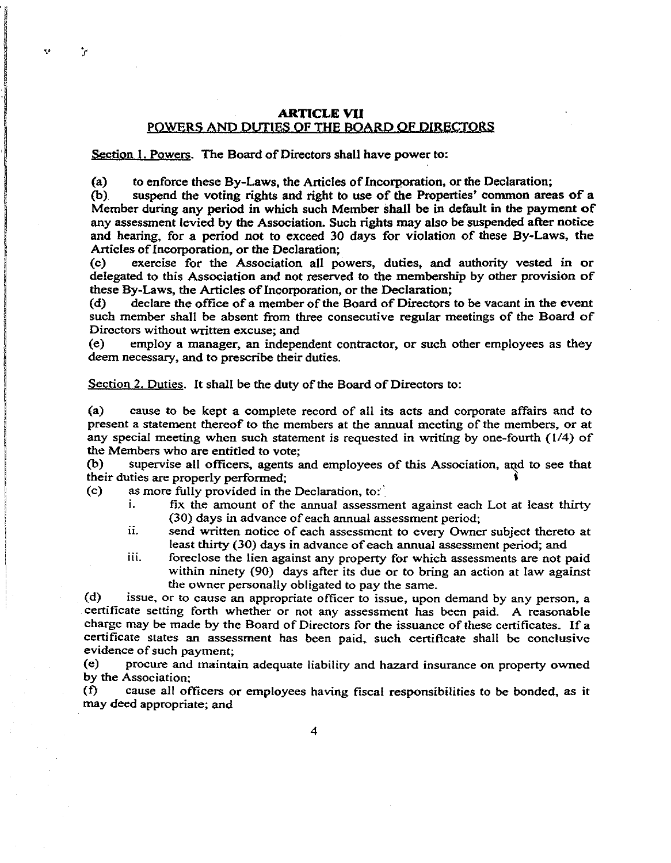## **ARTICLEVU**  POWERS AND DUTIES OF THE BOARD OF DIRECTORS

Section 1. Powers. The Board of Directors shall have power to:

 $\mathcal{L}$ 

(a) to enforce these By-Laws, the Articles of Incorporation, or the Declaration;

(b) suspend the voting rights and right to use of the Properties' common areas of a Member during any period in which such Member shall be in default in the payment of any assessment levied by the Association. Such rights may also be suspended after notice and hearing, for a period not to exceed 30 days for violation of these By-Laws, the Articles of Incorporation, or the Declaration;

(c) exercise for the Association all powers, duties, and authority vested in or delegated to this Association and not reserved to the membership by other provision of these By-Laws, the Articles of Incorporation, or the Declaration;<br>(d) declare the office of a member of the Board of Directors

declare the office of a member of the Board of Directors to be vacant in the event such member shall be absent from three consecutive regular meetings of the Board of Directors without written excuse; and

(e) employ a manager, an independent contractor, or such other employees as they deem necessary, and to prescribe their duties.

Section 2. Duties. It shall be the duty of the Board of Directors to:

(a) cause to be kept a complete record of all its acts and corporate affairs and to present a statement thereof to the members at the annual meeting of the members, or at any special meeting when such statement is requested in writing by one-fourth (1/4) of the Members who are entitled to vote;

(b) supervise all officers, agents and employees of this Association, and to see that their duties are properly performed; ,

(c) as more fully provided in the Declaration, to:'.

i. fix the amount of the annual assessment against each Lot at least thirty (30) days in advance of each annual assessment period;

- 11. send written notice of each assessment to every Owner subject thereto at least thirty (30) days in advance of each annual assessment period; and
- iii. foreclose the lien against any property for which assessments are not paid within ninety (90) days after its due or to bring an action at law against the owner personally obligated to pay the same.

(d) issue, or to cause an appropriate officer to issue, upon demand by any person, a certificate setting forth whether or not any assessment has been paid. A reasonable charge may be made by the Board of Directors for the issuance of these certificates. If a certificate states an assessment has been paid, such certificate shall be conclusive evidence of such payment;

(e) procure and maintain adequate liability and hazard insurance on property owned by the Association;

(f) cause all officers or employees having fiscal responsibilities to be bonded, as it may deed appropriate; and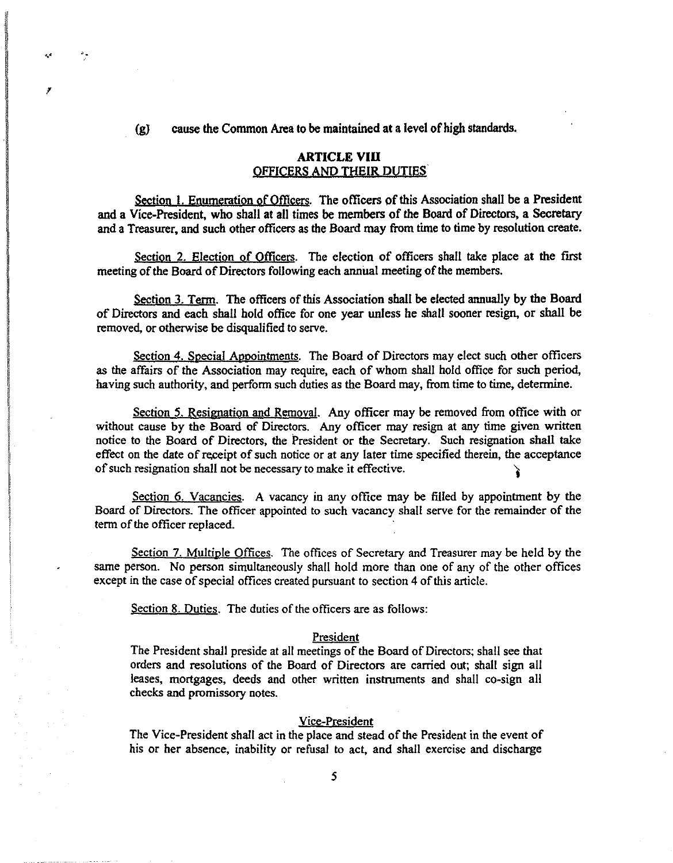(gJ cause the Common Area to be maintained at a level of high standards.

## ARTICLE **VIU**  OFFICERS ANO THEIR DUTIES

Section 1. Enumeration of Officers. The officers of this Association shall be a President and a Vice-President, who shall at all times be members of the Board of Directors, a Secretary and a Treasurer, and such other officers as the Board may from time to time by resolution create.

Section 2. Election of Officers. The election of officers shall take place at the first meeting of the Board of Directors following each annual meeting of the members.

Section 3. Term. The officers of this Association shall be elected annually by the Board of Directors and each shall hold office for one year unless he shall sooner resign, or shall be removed, or otherwise be disqualified to serve.

Section 4. Special Appointments. The Board of Directors may elect such other officers as the affairs of the Association may require, each of whom shall hold office for such period, having such authority, and perform such duties as the Board may, from time to time, determine.

Section 5. Resignation and Removal. Any officer may be removed from office with or without cause by the Board of Directors. Any officer may resign at any time given written notice to the Board of Directors, the President or the Secretary. Such resignation shall take effect on the date of receipt of such notice or at any later time specified therein, the acceptance of such resignation shall not be necessary to make it effective. )

Section 6. Vacancies. A vacancy in any office may be filled by appointment by the Board of Directors. The officer appointed to such vacancy shall serve for the remainder of the term of the officer replaced.

Section 7. MUltiple Offices. The offices of Secretary and Treasurer may be held by the same person. No person simultaneously shall hold more than one of any of the other offices except in the case of special offices created pursuant to section 4 of this article.

Section 8. Duties. The duties of the officers are as follows:

 $\label{eq:2.1} \begin{aligned} \mathcal{L}_{\text{max}}(\mathcal{L}_{\text{max}},\mathcal{L}_{\text{max}}) = \mathcal{L}_{\text{max}}(\mathcal{L}_{\text{max}}), \end{aligned}$ 

'.' '.

!

ina ang pangalawang.<br>Ing pangalawang pangalawang pangalawang pangalawang pangalawang pangalawang pangalawang pangalawang pangalawan<br>Ing pangalawang pangalawang pangalawang pangalawang pangalawang pangalawang pangalawang pa

I ! !

#### President

The President shall preside at all meetings of the Board of Directors; shall see that orders and resolutions of the Board of Directors are carried out; shall sign all leases, mortgages, deeds and other written instruments and shall co-sign all checks and promissory notes.

## Vice-President

The Vice-President shall act in the place and stead of the President in the event of his or her absence, inability or refusal to act, and shall exercise and discharge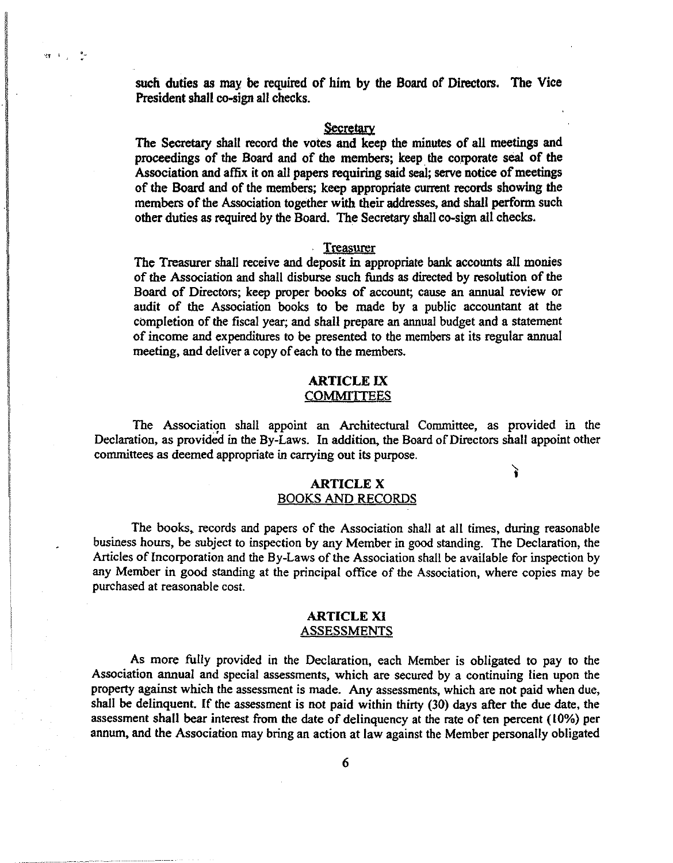such duties as may be required of him by the Board of Directors. The Vice President shall co-sign all checks.

#### Secretary

The Secretary shall record the votes and keep the minutes of all meetings and proceedings of the Board and of the members; keep the corporate seal of the Association and affix it on all papers requiring said seal; serve notice of meetings of the Board and of the members; keep appropriate current records showing the members of the Association together with their addresses, and shall perform such other duties as required by the Board. The Secretary shall co-sign all checks.

#### Treasurer

The Treasurer shall receive and deposit in appropriate bank accounts all monies of the Association and shall disburse such funds as directed by resolution of the Board of Directors; keep proper books of account; cause an annual review or audit of the Association books to be made by a public accountant at the completion of the fiscal year; and shall prepare an annual budget and a statement of income and expenditures to be presented to the members at its regular annual meeting, and deliver a copy of each to the members.

## ARTICLE IX **COMMITTEES**

The Association shall appoint an Architectural Committee, as provided in the Declaration, as provided in the By-Laws. In addition, the Board of Directors shall appoint other committees as deemed appropriate in carrying out its purpose.

an<br>India<br>I I wakazi wa mshindi ya 1980.<br>Matumo ! ~ International<br>-<br>- ~f j

## ARTICLE X BOOKS AND RECORDS

Y

The books. records and papers of the Association shall at all times, during reasonable business hours, be subject to inspection by any Member in good standing. The Declaration, the Articles of Incorporation and the By-Laws of the Association shall be available for inspection by any Member in good standing at the principal office of the Association, where copies may be purchased at reasonable cost.

## ARTICLE XI ASSESSMENTS

As more fully provided in the Declaration, each Member is obligated to pay to the Association annual and special assessments, which are secured by a continuing lien upon the property against which the assessment is made. Any assessments, which are not paid when due, shall be delinquent. If the assessment is not paid within thirty (30) days after the due date, the assessment shall bear interest from the date of delinquency at the rate of ten percent (10%) per annum, and the Association may bring an action at law against the Member personally obligated